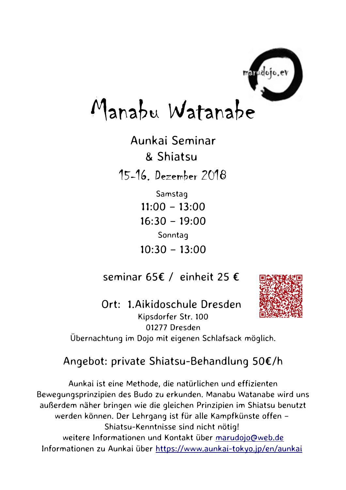

## Manabu Watanabe

Aunkai Seminar & Shiatsu 15-16. Dezember 2018

Samstag  $11:00 - 13:00$  $16:30 - 19:00$ Sonntag  $10:30 - 13:00$ 

seminar 65€ / einheit 25 €



Ort: 1.Aikidoschule Dresden Kipsdorfer Str. 100 01277 Dresden Übernachtung im Dojo mit eigenen Schlafsack möglich.

## Angebot: private Shiatsu-Behandlung 50€/h

Aunkai ist eine Methode, die natürlichen und effizienten Bewegungsprinzipien des Budo zu erkunden. Manabu Watanabe wird uns außerdem näher bringen wie die gleichen Prinzipien im Shiatsu benutzt werden können. Der Lehrgang ist für alle Kampfkünste offen – Shiatsu-Kenntnisse sind nicht nötig! weitere Informationen und Kontakt über [marudojo@web.de](mailto:marudojo@web.de) Informationen zu Aunkai über<https://www.aunkai-tokyo.jp/en/aunkai>